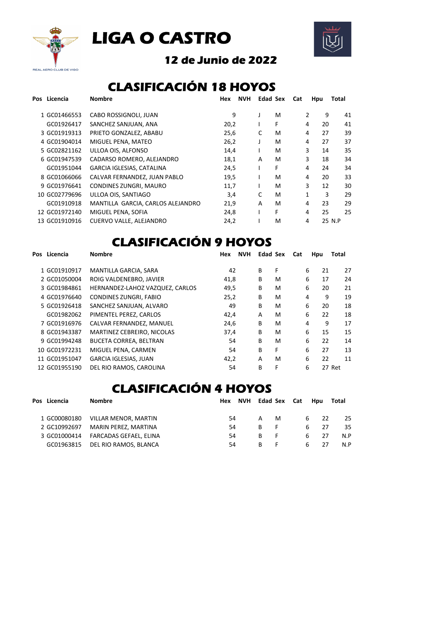





## 12 de Junio de 2022

## CLASIFICACIÓN 18 HOYOS

| Pos Licencia  | <b>Nombre</b>                     | Hex  | <b>NVH</b> | <b>Edad Sex</b> | Cat | Hpu     | Total  |
|---------------|-----------------------------------|------|------------|-----------------|-----|---------|--------|
| 1 GC01466553  | CABO ROSSIGNOLI, JUAN             | 9    |            | M               |     | 2<br>9  | 41     |
| GC01926417    | SANCHEZ SANJUAN, ANA              | 20,2 |            | F               |     | 20<br>4 | 41     |
| 3 GC01919313  | PRIETO GONZALEZ, ABABU            | 25,6 | C          | M               |     | 27<br>4 | 39     |
| 4 GC01904014  | MIGUEL PENA, MATEO                | 26,2 |            | M               |     | 27<br>4 | 37     |
| 5 GC02821162  | ULLOA OIS, ALFONSO                | 14,4 |            | м               |     | 3<br>14 | 35     |
| 6 GC01947539  | CADARSO ROMERO, ALEJANDRO         | 18,1 | A          | M               |     | 3<br>18 | 34     |
| GC01951044    | <b>GARCIA IGLESIAS, CATALINA</b>  | 24,5 |            | F               |     | 4<br>24 | 34     |
| 8 GC01066066  | CALVAR FERNANDEZ, JUAN PABLO      | 19,5 |            | M               |     | 4<br>20 | 33     |
| 9 GC01976641  | CONDINES ZUNGRI, MAURO            | 11,7 |            | M               |     | 3<br>12 | 30     |
| 10 GC02779696 | ULLOA OIS, SANTIAGO               | 3,4  | C          | M               |     | 1<br>3  | 29     |
| GC01910918    | MANTILLA GARCIA, CARLOS ALEJANDRO | 21,9 | A          | M               |     | 4<br>23 | 29     |
| 12 GC01972140 | MIGUEL PENA, SOFIA                | 24,8 |            | F               |     | 4<br>25 | 25     |
| 13 GC01910916 | CUERVO VALLE, ALEJANDRO           | 24,2 |            | M               |     | 4       | 25 N.P |

## **CLASIFICACIÓN 9 HOYOS**

| Licencia<br>Pos | <b>Nombre</b>                   | <b>NVH</b><br>Hex |   | <b>Edad Sex</b> | Cat | Hpu     | Total  |
|-----------------|---------------------------------|-------------------|---|-----------------|-----|---------|--------|
| 1 GC01910917    | MANTILLA GARCIA, SARA           | 42                | B | F               |     | 6<br>21 | 27     |
| 2 GC01050004    | ROIG VALDENEBRO. JAVIER         | 41,8              | B | м               |     | 6<br>17 | 24     |
| 3 GC01984861    | HERNANDEZ-LAHOZ VAZQUEZ, CARLOS | 49,5              | B | м               |     | 6<br>20 | 21     |
| 4 GC01976640    | CONDINES ZUNGRI, FABIO          | 25,2              | B | м               | 4   | 9       | 19     |
| 5 GC01926418    | SANCHEZ SANJUAN, ALVARO         | 49                | B | M               |     | 6<br>20 | 18     |
| GC01982062      | PIMENTEL PEREZ. CARLOS          | 42,4              | A | м               |     | 6<br>22 | 18     |
| 7 GC01916976    | CALVAR FERNANDEZ, MANUEL        | 24,6              | B | м               | 4   | 9       | 17     |
| 8 GC01943387    | MARTINEZ CEBREIRO, NICOLAS      | 37,4              | B | M               |     | 6<br>15 | 15     |
| 9 GC01994248    | BUCETA CORREA, BELTRAN          | 54                | B | M               |     | 6<br>22 | 14     |
| 10 GC01972231   | MIGUEL PENA, CARMEN             | 54                | B | F               |     | 6<br>27 | 13     |
| 11 GC01951047   | <b>GARCIA IGLESIAS, JUAN</b>    | 42,2              | A | M               |     | 6<br>22 | 11     |
| 12 GC01955190   | DEL RIO RAMOS, CAROLINA         | 54                | в | F               |     | 6       | 27 Ret |

## CLASIFICACIÓN 4 HOYOS

| Pos Licencia | <b>Nombre</b>                    |    | Hex NVH Edad Sex Cat Hpu |    |    |   |           | Total |
|--------------|----------------------------------|----|--------------------------|----|----|---|-----------|-------|
| 1 GC00080180 | VILLAR MENOR, MARTIN             | 54 |                          | A  | M  |   | $22$<br>6 | 25    |
| 2 GC10992697 | MARIN PEREZ, MARTINA             | 54 |                          | B. | -F | 6 | 27        | 35.   |
| 3 GC01000414 | FARCADAS GEFAEL, ELINA           | 54 |                          | B. | F. | 6 | 27        | N.P   |
|              | GC01963815 DEL RIO RAMOS, BLANCA | 54 |                          | B. | F. | 6 | 27        | N.P   |